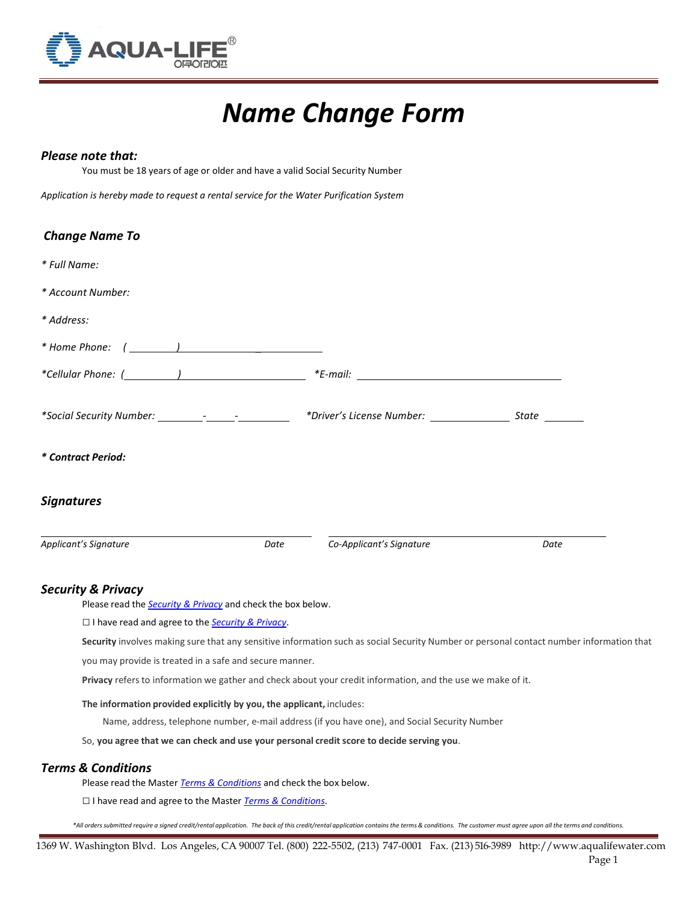

# *Name Change Form*

## *Please note that:*

You must be 18 years of age or older and have a valid Social Security Number

*Application is hereby made to request a rental service for the Water Purification System*

| <b>Change Name To</b>                                                                                                                                                                                                                                                                         |      |                                                                                                             |                                                                                                                                         |
|-----------------------------------------------------------------------------------------------------------------------------------------------------------------------------------------------------------------------------------------------------------------------------------------------|------|-------------------------------------------------------------------------------------------------------------|-----------------------------------------------------------------------------------------------------------------------------------------|
| * Full Name:                                                                                                                                                                                                                                                                                  |      |                                                                                                             |                                                                                                                                         |
| * Account Number:                                                                                                                                                                                                                                                                             |      |                                                                                                             |                                                                                                                                         |
| * Address:                                                                                                                                                                                                                                                                                    |      |                                                                                                             |                                                                                                                                         |
|                                                                                                                                                                                                                                                                                               |      |                                                                                                             |                                                                                                                                         |
| *Cellular Phone: $($ $)$ $)$ $*$ $E$ -mail: $)$ $*$ $E$ -mail: $\frac{1}{2}$ $\frac{1}{2}$ $\frac{1}{2}$ $\frac{1}{2}$ $\frac{1}{2}$ $\frac{1}{2}$ $\frac{1}{2}$ $\frac{1}{2}$ $\frac{1}{2}$ $\frac{1}{2}$ $\frac{1}{2}$ $\frac{1}{2}$ $\frac{1}{2}$ $\frac{1}{2}$ $\frac{1}{2}$ $\frac{1}{2$ |      |                                                                                                             |                                                                                                                                         |
|                                                                                                                                                                                                                                                                                               |      |                                                                                                             |                                                                                                                                         |
| * Contract Period:                                                                                                                                                                                                                                                                            |      |                                                                                                             |                                                                                                                                         |
| <b>Signatures</b>                                                                                                                                                                                                                                                                             |      |                                                                                                             |                                                                                                                                         |
| Applicant's Signature                                                                                                                                                                                                                                                                         | Date | Co-Applicant's Signature                                                                                    | Date                                                                                                                                    |
| <b>Security &amp; Privacy</b>                                                                                                                                                                                                                                                                 |      |                                                                                                             |                                                                                                                                         |
| Please read the <b>Security &amp; Privacy</b> and check the box below.                                                                                                                                                                                                                        |      |                                                                                                             |                                                                                                                                         |
| □ I have read and agree to the Security & Privacy.                                                                                                                                                                                                                                            |      |                                                                                                             |                                                                                                                                         |
|                                                                                                                                                                                                                                                                                               |      |                                                                                                             | Security involves making sure that any sensitive information such as social Security Number or personal contact number information that |
| you may provide is treated in a safe and secure manner.                                                                                                                                                                                                                                       |      |                                                                                                             |                                                                                                                                         |
|                                                                                                                                                                                                                                                                                               |      | Privacy refers to information we gather and check about your credit information, and the use we make of it. |                                                                                                                                         |

**The information provided explicitly by you, the applicant,** includes:

Name, address, telephone number, e-mail address (if you have one), and Social Security Number

So, **you agree that we can check and use your personal credit score to decide serving you**.

## *Terms & Conditions*

Please read the Master *Terms & [Conditions](https://www.accountonline.com/ACQ/DisplayTerms?sc=4T3ZJR813CJ2MDQ93ZW&app=UNSOL&siteId=CB&langId=EN&BUS_TYP_CD=CONSUMER&DOWNSELL_LEVEL=2&BALCON_SC&B=M&DOWNSELL_BRANDS=M%2CM%2C&DownsellSourceCode1=4T3ZKR413CJ2MDQ93ZW&B1=M&DownsellSourceCode2=4T3ZLR513CJ2MDQ93ZW&B2=M&t=t&d&uc=AKA&AMEX_PID_AF_CODE&AAPID)* and check the box below.

□ I have read and agree to the Master *Terms & [Conditions](https://www.accountonline.com/ACQ/DisplayTerms?sc=4T3ZJR813CJ2MDQ93ZW&app=UNSOL&siteId=CB&langId=EN&BUS_TYP_CD=CONSUMER&DOWNSELL_LEVEL=2&BALCON_SC&B=M&DOWNSELL_BRANDS=M%2CM%2C&DownsellSourceCode1=4T3ZKR413CJ2MDQ93ZW&B1=M&DownsellSourceCode2=4T3ZLR513CJ2MDQ93ZW&B2=M&t=t&d&uc=AKA&AMEX_PID_AF_CODE&AAPID)*.

\*All orders submitted require a signed credit/rental application. The back of this credit/rental application contains the terms & conditions. The customer must agree upon all the terms and conditions.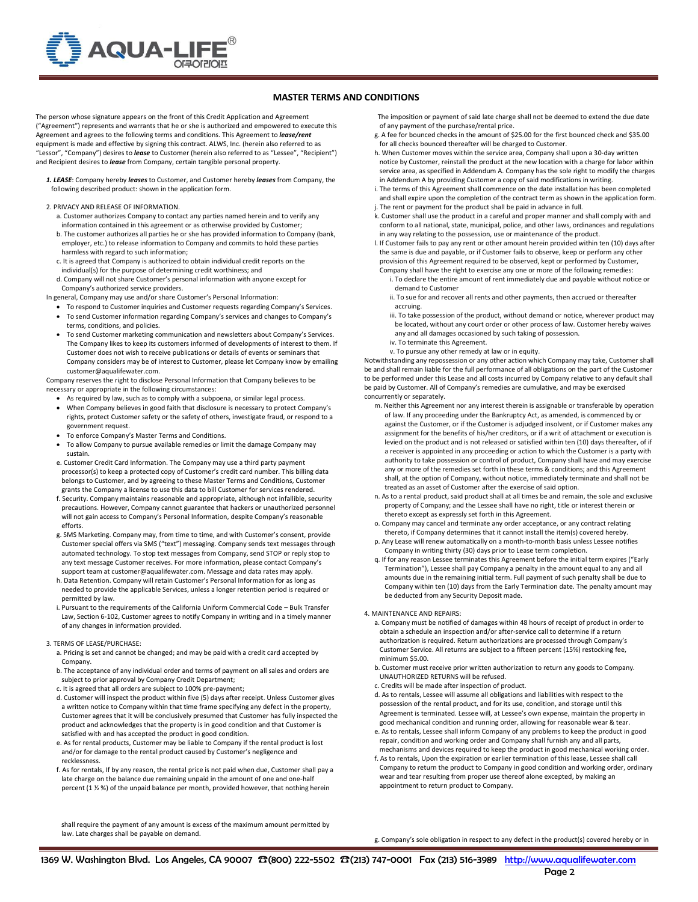

### **MASTER TERMS AND CONDITIONS**

The person whose signature appears on the front of this Credit Application and Agreement ("Agreement") represents and warrants that he or she is authorized and empowered to execute this Agreement and agrees to the following terms and conditions. This Agreement to *lease/rent* equipment is made and effective by signing this contract. ALWS, Inc. (herein also referred to as "Lessor", "Company") desires to *lease* to Customer (herein also referred to as "Lessee", "Recipient") and Recipient desires to *lease* from Company, certain tangible personal property.

*1. LEASE*: Company hereby *leases* to Customer, and Customer hereby *leases* from Company, the following described product: shown in the application form.

- 2. PRIVACY AND RELEASE OF INFORMATION.
	- a. Customer authorizes Company to contact any parties named herein and to verify any information contained in this agreement or as otherwise provided by Customer;
	- b. The customer authorizes all parties he or she has provided information to Company (bank, employer, etc.) to release information to Company and commits to hold these parties harmless with regard to such information;
	- c. It is agreed that Company is authorized to obtain individual credit reports on the individual(s) for the purpose of determining credit worthiness; and
	- d. Company will not share Customer's personal information with anyone except for Company's authorized service providers.
- In general, Company may use and/or share Customer's Personal Information:
	- To respond to Customer inquiries and Customer requests regarding Company's Services.
	- To send Customer information regarding Company's services and changes to Company's terms, conditions, and policies.
	- To send Customer marketing communication and newsletters about Company's Services. The Company likes to keep its customers informed of developments of interest to them. If Customer does not wish to receive publications or details of events or seminars that Company considers may be of interest to Customer, please let Company know by emailing customer@aqualifewater.com.

Company reserves the right to disclose Personal Information that Company believes to be necessary or appropriate in the following circumstances:

- As required by law, such as to comply with a subpoena, or similar legal process.
- When Company believes in good faith that disclosure is necessary to protect Company's rights, protect Customer safety or the safety of others, investigate fraud, or respond to a government request.
- To enforce Company's Master Terms and Conditions.
- To allow Company to pursue available remedies or limit the damage Company may sustain.
- e. Customer Credit Card Information. The Company may use a third party payment processor(s) to keep a protected copy of Customer's credit card number. This billing data belongs to Customer, and by agreeing to these Master Terms and Conditions, Customer grants the Company a license to use this data to bill Customer for services rendered.
- f. Security. Company maintains reasonable and appropriate, although not infallible, security precautions. However, Company cannot guarantee that hackers or unauthorized personnel will not gain access to Company's Personal Information, despite Company's reasonable efforts.
- g. SMS Marketing. Company may, from time to time, and with Customer's consent, provide Customer special offers via SMS ("text") messaging. Company sends text messages through automated technology. To stop text messages from Company, send STOP or reply stop to any text message Customer receives. For more information, please contact Company's
- support team at customer@aqualifewater.com. Message and data rates may apply. h. Data Retention. Company will retain Customer's Personal Information for as long as needed to provide the applicable Services, unless a longer retention period is required or permitted by law.
- i. Pursuant to the requirements of the California Uniform Commercial Code Bulk Transfer Law, Section 6-102, Customer agrees to notify Company in writing and in a timely manner of any changes in information provided.

#### 3. TERMS OF LEASE/PURCHASE:

- a. Pricing is set and cannot be changed; and may be paid with a credit card accepted by Company.
- b. The acceptance of any individual order and terms of payment on all sales and orders are subject to prior approval by Company Credit Department;
- c. It is agreed that all orders are subject to 100% pre-payment;
- d. Customer will inspect the product within five (5) days after receipt. Unless Customer gives a written notice to Company within that time frame specifying any defect in the property, Customer agrees that it will be conclusively presumed that Customer has fully inspected the product and acknowledges that the property is in good condition and that Customer is satisfied with and has accepted the product in good condition.
- e. As for rental products, Customer may be liable to Company if the rental product is lost and/or for damage to the rental product caused by Customer's negligence and recklessness.
- f. As for rentals, If by any reason, the rental price is not paid when due, Customer shall pay a late charge on the balance due remaining unpaid in the amount of one and one-half percent (1 ½ %) of the unpaid balance per month, provided however, that nothing herein

 The imposition or payment of said late charge shall not be deemed to extend the due date of any payment of the purchase/rental price.

- g. A fee for bounced checks in the amount of \$25.00 for the first bounced check and \$35.00 for all checks bounced thereafter will be charged to Customer
- h. When Customer moves within the service area, Company shall upon a 30-day written notice by Customer, reinstall the product at the new location with a charge for labor within service area, as specified in Addendum A. Company has the sole right to modify the charges in Addendum A by providing Customer a copy of said modifications in writing.
- i. The terms of this Agreement shall commence on the date installation has been completed and shall expire upon the completion of the contract term as shown in the application form. j. The rent or payment for the product shall be paid in advance in full.
- k. Customer shall use the product in a careful and proper manner and shall comply with and conform to all national, state, municipal, police, and other laws, ordinances and regulations in any way relating to the possession, use or maintenance of the product.
- l. If Customer fails to pay any rent or other amount herein provided within ten (10) days after the same is due and payable, or if Customer fails to observe, keep or perform any other provision of this Agreement required to be observed, kept or performed by Customer,
- Company shall have the right to exercise any one or more of the following remedies: i. To declare the entire amount of rent immediately due and payable without notice or
- demand to Customer
- ii. To sue for and recover all rents and other payments, then accrued or thereafter accruing.
- iii. To take possession of the product, without demand or notice, wherever product may be located, without any court order or other process of law. Customer hereby waives any and all damages occasioned by such taking of possession.
- iv. To terminate this Agreement.
- v. To pursue any other remedy at law or in equity.

Notwithstanding any repossession or any other action which Company may take, Customer shall be and shall remain liable for the full performance of all obligations on the part of the Customer to be performed under this Lease and all costs incurred by Company relative to any default shall be paid by Customer. All of Company's remedies are cumulative, and may be exercised concurrently or separately.

- m. Neither this Agreement nor any interest therein is assignable or transferable by operation of law. If any proceeding under the Bankruptcy Act, as amended, is commenced by or against the Customer, or if the Customer is adjudged insolvent, or if Customer makes any assignment for the benefits of his/her creditors, or if a writ of attachment or execution is levied on the product and is not released or satisfied within ten (10) days thereafter, of if a receiver is appointed in any proceeding or action to which the Customer is a party with authority to take possession or control of product, Company shall have and may exercise any or more of the remedies set forth in these terms & conditions; and this Agreement shall, at the option of Company, without notice, immediately terminate and shall not be treated as an asset of Customer after the exercise of said option.
- n. As to a rental product, said product shall at all times be and remain, the sole and exclusive property of Company; and the Lessee shall have no right, title or interest therein or thereto except as expressly set forth in this Agreement.
- o. Company may cancel and terminate any order acceptance, or any contract relating thereto, if Company determines that it cannot install the item(s) covered hereby.
- p. Any Lease will renew automatically on a month-to-month basis unless Lessee notifies Company in writing thirty (30) days prior to Lease term completion.
- q. If for any reason Lessee terminates this Agreement before the initial term expires ("Early Termination"), Lessee shall pay Company a penalty in the amount equal to any and all amounts due in the remaining initial term. Full payment of such penalty shall be due to Company within ten (10) days from the Early Termination date. The penalty amount may be deducted from any Security Deposit made.

#### 4. MAINTENANCE AND REPAIRS:

- a. Company must be notified of damages within 48 hours of receipt of product in order to obtain a schedule an inspection and/or after-service call to determine if a return authorization is required. Return authorizations are processed through Company's Customer Service. All returns are subject to a fifteen percent (15%) restocking fee, minimum \$5.00.
- b. Customer must receive prior written authorization to return any goods to Company. UNAUTHORIZED RETURNS will be refused.
- c. Credits will be made after inspection of product.
- d. As to rentals, Lessee will assume all obligations and liabilities with respect to the possession of the rental product, and for its use, condition, and storage until this Agreement is terminated. Lessee will, at Lessee's own expense, maintain the property in good mechanical condition and running order, allowing for reasonable wear & tear.
- e. As to rentals, Lessee shall inform Company of any problems to keep the product in good repair, condition and working order and Company shall furnish any and all parts, mechanisms and devices required to keep the product in good mechanical working order.
- f. As to rentals, Upon the expiration or earlier termination of this lease, Lessee shall call Company to return the product to Company in good condition and working order, ordinary wear and tear resulting from proper use thereof alone excepted, by making an appointment to return product to Company.

shall require the payment of any amount is excess of the maximum amount permitted by law. Late charges shall be payable on demand.

g. Company's sole obligation in respect to any defect in the product(s) covered hereby or in